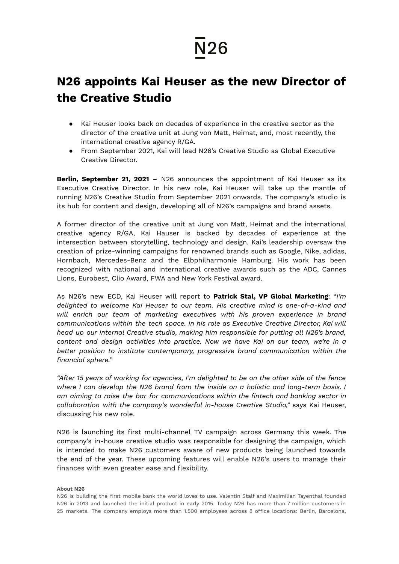## **N26**

## **N26 appoints Kai Heuser as the new Director of the Creative Studio**

- Kai Heuser looks back on decades of experience in the creative sector as the director of the creative unit at Jung von Matt, Heimat, and, most recently, the international creative agency R/GA.
- From September 2021, Kai will lead N26's Creative Studio as Global Executive Creative Director.

**Berlin, September 21, 2021** – N26 announces the appointment of Kai Heuser as its Executive Creative Director. In his new role, Kai Heuser will take up the mantle of running N26's Creative Studio from September 2021 onwards. The company's studio is its hub for content and design, developing all of N26's campaigns and brand assets.

A former director of the creative unit at Jung von Matt, Heimat and the international creative agency R/GA, Kai Hauser is backed by decades of experience at the intersection between storytelling, technology and design. Kai's leadership oversaw the creation of prize-winning campaigns for renowned brands such as Google, Nike, adidas, Hornbach, Mercedes-Benz and the Elbphilharmonie Hamburg. His work has been recognized with national and international creative awards such as the ADC, Cannes Lions, Eurobest, Clio Award, FWA and New York Festival award.

As N26's new ECD, Kai Heuser will report to **Patrick Stal, VP Global Marketing**: "*I'm delighted to welcome Kai Heuser to our team. His creative mind is one-of-a-kind and will enrich our team of marketing executives with his proven experience in brand communications within the tech space. In his role as Executive Creative Director, Kai will head up our Internal Creative studio, making him responsible for putting all N26's brand, content and design activities into practice. Now we have Kai on our team, we're in a better position to institute contemporary, progressive brand communication within the financial sphere."*

*"After 15 years of working for agencies, I'm delighted to be on the other side of the fence where I can develop the N26 brand from the inside on a holistic and long-term basis. I am aiming to raise the bar for communications within the fintech and banking sector in collaboration with the company's wonderful in-house Creative Studio,"* says Kai Heuser, discussing his new role.

N26 is launching its first multi-channel TV campaign across Germany this week. The company's in-house creative studio was responsible for designing the campaign, which is intended to make N26 customers aware of new products being launched towards the end of the year. These upcoming features will enable N26's users to manage their finances with even greater ease and flexibility.

## **About N26**

N26 is building the first mobile bank the world loves to use. Valentin Stalf and Maximilian Tayenthal founded N26 in 2013 and launched the initial product in early 2015. Today N26 has more than 7 million customers in 25 markets. The company employs more than 1.500 employees across 8 office locations: Berlin, Barcelona,